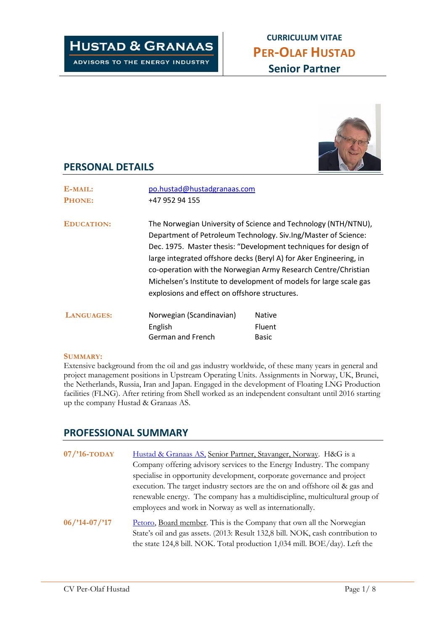# **HUSTAD & GRANAAS**

ADVISORS TO THE ENERGY INDUSTRY

# **CURRICULUM VITAE PER-OLAF HUSTAD Senior Partner**



## **PERSONAL DETAILS**

| E-MAIL:           | po.hustad@hustadgranaas.com                                                                                                                                                                                                                                                                                                                                                                                                                                        |               |
|-------------------|--------------------------------------------------------------------------------------------------------------------------------------------------------------------------------------------------------------------------------------------------------------------------------------------------------------------------------------------------------------------------------------------------------------------------------------------------------------------|---------------|
| <b>PHONE:</b>     | +47 952 94 155                                                                                                                                                                                                                                                                                                                                                                                                                                                     |               |
| <b>EDUCATION:</b> | The Norwegian University of Science and Technology (NTH/NTNU),<br>Department of Petroleum Technology. Siv.Ing/Master of Science:<br>Dec. 1975. Master thesis: "Development techniques for design of<br>large integrated offshore decks (Beryl A) for Aker Engineering, in<br>co-operation with the Norwegian Army Research Centre/Christian<br>Michelsen's Institute to development of models for large scale gas<br>explosions and effect on offshore structures. |               |
| LANGUAGES:        | Norwegian (Scandinavian)                                                                                                                                                                                                                                                                                                                                                                                                                                           | <b>Native</b> |
|                   | English                                                                                                                                                                                                                                                                                                                                                                                                                                                            | <b>Fluent</b> |
|                   | German and French                                                                                                                                                                                                                                                                                                                                                                                                                                                  | <b>Basic</b>  |

#### **SUMMARY:**

Extensive background from the oil and gas industry worldwide, of these many years in general and project management positions in Upstream Operating Units. Assignments in Norway, UK, Brunei, the Netherlands, Russia, Iran and Japan. Engaged in the development of Floating LNG Production facilities (FLNG). After retiring from Shell worked as an independent consultant until 2016 starting up the company Hustad & Granaas AS.

## **PROFESSIONAL SUMMARY**

| $07/$ '16-TODAY  | Hustad & Granaas AS, Senior Partner, Stavanger, Norway. H&G is a<br>Company offering advisory services to the Energy Industry. The company<br>specialise in opportunity development, corporate governance and project<br>execution. The target industry sectors are the on and offshore oil & gas and<br>renewable energy. The company has a multidiscipline, multicultural group of<br>employees and work in Norway as well as internationally. |  |
|------------------|--------------------------------------------------------------------------------------------------------------------------------------------------------------------------------------------------------------------------------------------------------------------------------------------------------------------------------------------------------------------------------------------------------------------------------------------------|--|
| $06$ /'14-07/'17 | Petoro, Board member. This is the Company that own all the Norwegian<br>State's oil and gas assets. (2013: Result 132,8 bill. NOK, cash contribution to<br>the state 124,8 bill. NOK. Total production 1,034 mill. BOE/day). Left the                                                                                                                                                                                                            |  |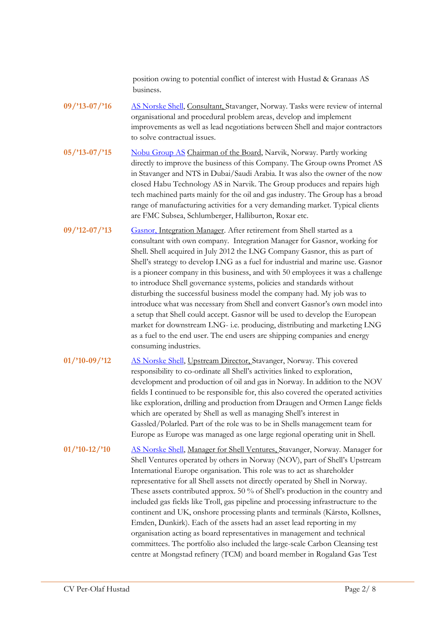position owing to potential conflict of interest with Hustad & Granaas AS business.

- **09/'13-07/'16** [AS Norske Shell,](https://www.shell.no/) Consultant, Stavanger, Norway. Tasks were review of internal organisational and procedural problem areas, develop and implement improvements as well as lead negotiations between Shell and major contractors to solve contractual issues.
- **05/'13-07/'15** [Nobu Group AS](http://thenobugroup.com/home.html) Chairman of the Board, Narvik, Norway. Partly working directly to improve the business of this Company. The Group owns Promet AS in Stavanger and NTS in Dubai/Saudi Arabia. It was also the owner of the now closed Habu Technology AS in Narvik. The Group produces and repairs high tech machined parts mainly for the oil and gas industry. The Group has a broad range of manufacturing activities for a very demanding market. Typical clients are FMC Subsea, Schlumberger, Halliburton, Roxar etc.
- **09/'12-07/'13** [Gasnor,](https://gasnor.no/en/) Integration Manager. After retirement from Shell started as a consultant with own company. Integration Manager for Gasnor, working for Shell. Shell acquired in July 2012 the LNG Company Gasnor, this as part of Shell's strategy to develop LNG as a fuel for industrial and marine use. Gasnor is a pioneer company in this business, and with 50 employees it was a challenge to introduce Shell governance systems, policies and standards without disturbing the successful business model the company had. My job was to introduce what was necessary from Shell and convert Gasnor's own model into a setup that Shell could accept. Gasnor will be used to develop the European market for downstream LNG- i.e. producing, distributing and marketing LNG as a fuel to the end user. The end users are shipping companies and energy consuming industries.
- **01/'10-09/'12** [AS Norske Shell,](https://www.shell.no/) Upstream Director, Stavanger, Norway. This covered responsibility to co-ordinate all Shell's activities linked to exploration, development and production of oil and gas in Norway. In addition to the NOV fields I continued to be responsible for, this also covered the operated activities like exploration, drilling and production from Draugen and Ormen Lange fields which are operated by Shell as well as managing Shell's interest in Gassled/Polarled. Part of the role was to be in Shells management team for Europe as Europe was managed as one large regional operating unit in Shell.

**01/'10-12/'10** [AS Norske Shell,](https://www.shell.no/) Manager for Shell Ventures, Stavanger, Norway. Manager for Shell Ventures operated by others in Norway (NOV), part of Shell's Upstream International Europe organisation. This role was to act as shareholder representative for all Shell assets not directly operated by Shell in Norway. These assets contributed approx. 50 % of Shell's production in the country and included gas fields like Troll, gas pipeline and processing infrastructure to the continent and UK, onshore processing plants and terminals (Kårstø, Kollsnes, Emden, Dunkirk). Each of the assets had an asset lead reporting in my organisation acting as board representatives in management and technical committees. The portfolio also included the large-scale Carbon Cleansing test centre at Mongstad refinery (TCM) and board member in Rogaland Gas Test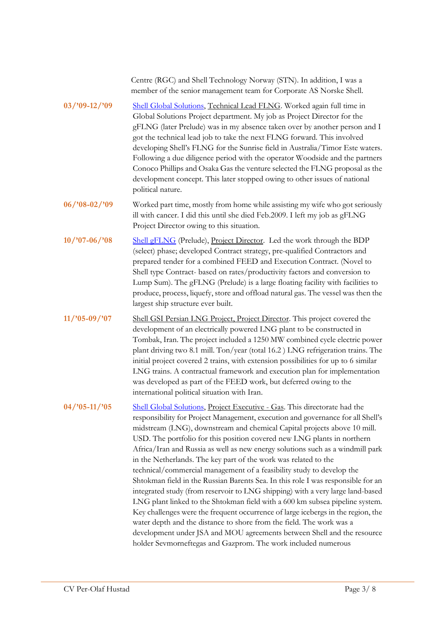|                 | Centre (RGC) and Shell Technology Norway (STN). In addition, I was a<br>member of the senior management team for Corporate AS Norske Shell.                                                                                                                                                                                                                                                                                                                                                                                                                                                                                                                                                                                                                                                                                                                                                                                                                                                                                                                                                                     |
|-----------------|-----------------------------------------------------------------------------------------------------------------------------------------------------------------------------------------------------------------------------------------------------------------------------------------------------------------------------------------------------------------------------------------------------------------------------------------------------------------------------------------------------------------------------------------------------------------------------------------------------------------------------------------------------------------------------------------------------------------------------------------------------------------------------------------------------------------------------------------------------------------------------------------------------------------------------------------------------------------------------------------------------------------------------------------------------------------------------------------------------------------|
| $03/09 - 12/09$ | Shell Global Solutions, Technical Lead FLNG. Worked again full time in<br>Global Solutions Project department. My job as Project Director for the<br>gFLNG (later Prelude) was in my absence taken over by another person and I<br>got the technical lead job to take the next FLNG forward. This involved<br>developing Shell's FLNG for the Sunrise field in Australia/Timor Este waters.<br>Following a due diligence period with the operator Woodside and the partners<br>Conoco Phillips and Osaka Gas the venture selected the FLNG proposal as the<br>development concept. This later stopped owing to other issues of national<br>political nature.                                                                                                                                                                                                                                                                                                                                                                                                                                                    |
| $06/98 - 02/99$ | Worked part time, mostly from home while assisting my wife who got seriously<br>ill with cancer. I did this until she died Feb.2009. I left my job as gFLNG<br>Project Director owing to this situation.                                                                                                                                                                                                                                                                                                                                                                                                                                                                                                                                                                                                                                                                                                                                                                                                                                                                                                        |
| $10/97 - 06/98$ | Shell gFLNG (Prelude), Project Director. Led the work through the BDP<br>(select) phase; developed Contract strategy, pre-qualified Contractors and<br>prepared tender for a combined FEED and Execution Contract. (Novel to<br>Shell type Contract- based on rates/productivity factors and conversion to<br>Lump Sum). The gFLNG (Prelude) is a large floating facility with facilities to<br>produce, process, liquefy, store and offload natural gas. The vessel was then the<br>largest ship structure ever built.                                                                                                                                                                                                                                                                                                                                                                                                                                                                                                                                                                                         |
| $11/05 - 09/07$ | Shell GSI Persian LNG Project, Project Director. This project covered the<br>development of an electrically powered LNG plant to be constructed in<br>Tombak, Iran. The project included a 1250 MW combined cycle electric power<br>plant driving two 8.1 mill. Ton/year (total 16.2 ) LNG refrigeration trains. The<br>initial project covered 2 trains, with extension possibilities for up to 6 similar<br>LNG trains. A contractual framework and execution plan for implementation<br>was developed as part of the FEED work, but deferred owing to the<br>international political situation with Iran.                                                                                                                                                                                                                                                                                                                                                                                                                                                                                                    |
| $04/25 - 11/25$ | Shell Global Solutions, Project Executive - Gas. This directorate had the<br>responsibility for Project Management, execution and governance for all Shell's<br>midstream (LNG), downstream and chemical Capital projects above 10 mill.<br>USD. The portfolio for this position covered new LNG plants in northern<br>Africa/Iran and Russia as well as new energy solutions such as a windmill park<br>in the Netherlands. The key part of the work was related to the<br>technical/commercial management of a feasibility study to develop the<br>Shtokman field in the Russian Barents Sea. In this role I was responsible for an<br>integrated study (from reservoir to LNG shipping) with a very large land-based<br>LNG plant linked to the Shtokman field with a 600 km subsea pipeline system.<br>Key challenges were the frequent occurrence of large icebergs in the region, the<br>water depth and the distance to shore from the field. The work was a<br>development under JSA and MOU agreements between Shell and the resource<br>holder Sevmorneftegas and Gazprom. The work included numerous |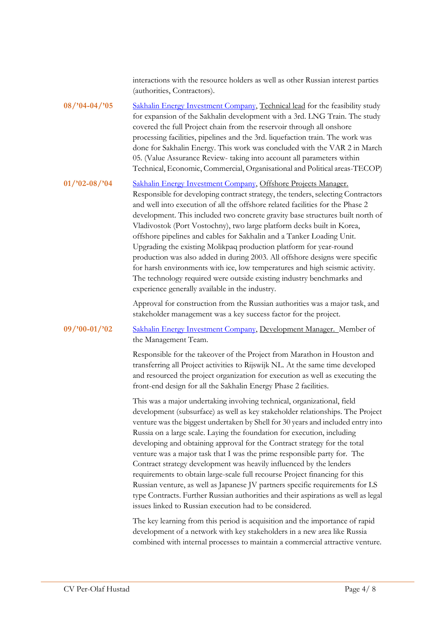interactions with the resource holders as well as other Russian interest parties (authorities, Contractors).

**08/'04-04/'05** [Sakhalin Energy Investment Company,](http://www.sakhalinenergy.ru/en/index.wbp) Technical lead for the feasibility study for expansion of the Sakhalin development with a 3rd. LNG Train. The study covered the full Project chain from the reservoir through all onshore processing facilities, pipelines and the 3rd. liquefaction train. The work was done for Sakhalin Energy. This work was concluded with the VAR 2 in March 05. (Value Assurance Review- taking into account all parameters within Technical, Economic, Commercial, Organisational and Political areas-TECOP)

**01/'02-08/'04** [Sakhalin Energy Investment Company,](http://www.sakhalinenergy.ru/en/index.wbp) Offshore Projects Manager. Responsible for developing contract strategy, the tenders, selecting Contractors and well into execution of all the offshore related facilities for the Phase 2 development. This included two concrete gravity base structures built north of Vladivostok (Port Vostochny), two large platform decks built in Korea, offshore pipelines and cables for Sakhalin and a Tanker Loading Unit. Upgrading the existing Molikpaq production platform for year-round production was also added in during 2003. All offshore designs were specific for harsh environments with ice, low temperatures and high seismic activity. The technology required were outside existing industry benchmarks and experience generally available in the industry.

> Approval for construction from the Russian authorities was a major task, and stakeholder management was a key success factor for the project.

**09/'00-01/'02** [Sakhalin Energy Investment Company,](http://www.sakhalinenergy.ru/en/index.wbp) Development Manager. Member of the Management Team.

> Responsible for the takeover of the Project from Marathon in Houston and transferring all Project activities to Rijswijk NL. At the same time developed and resourced the project organization for execution as well as executing the front-end design for all the Sakhalin Energy Phase 2 facilities.

This was a major undertaking involving technical, organizational, field development (subsurface) as well as key stakeholder relationships. The Project venture was the biggest undertaken by Shell for 30 years and included entry into Russia on a large scale. Laying the foundation for execution, including developing and obtaining approval for the Contract strategy for the total venture was a major task that I was the prime responsible party for. The Contract strategy development was heavily influenced by the lenders requirements to obtain large-scale full recourse Project financing for this Russian venture, as well as Japanese JV partners specific requirements for LS type Contracts. Further Russian authorities and their aspirations as well as legal issues linked to Russian execution had to be considered.

The key learning from this period is acquisition and the importance of rapid development of a network with key stakeholders in a new area like Russia combined with internal processes to maintain a commercial attractive venture.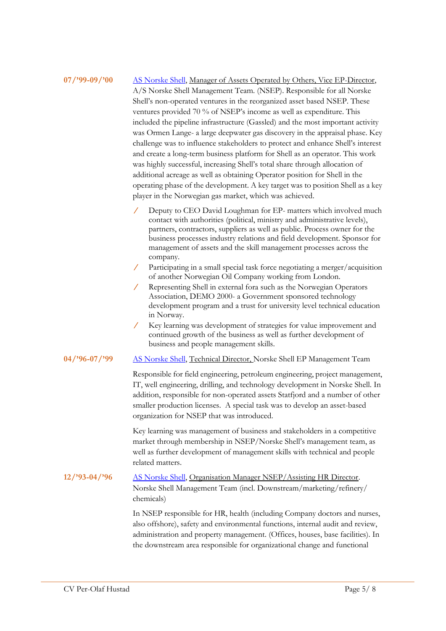## **07/'99-09/'00** [AS Norske Shell,](https://www.shell.no/) Manager of Assets Operated by Others, Vice EP-Director, A/S Norske Shell Management Team. (NSEP). Responsible for all Norske Shell's non-operated ventures in the reorganized asset based NSEP. These ventures provided 70 % of NSEP's income as well as expenditure. This included the pipeline infrastructure (Gassled) and the most important activity was Ormen Lange- a large deepwater gas discovery in the appraisal phase. Key challenge was to influence stakeholders to protect and enhance Shell's interest and create a long-term business platform for Shell as an operator. This work was highly successful, increasing Shell's total share through allocation of additional acreage as well as obtaining Operator position for Shell in the operating phase of the development. A key target was to position Shell as a key player in the Norwegian gas market, which was achieved.

- Deputy to CEO David Loughman for EP- matters which involved much contact with authorities (political, ministry and administrative levels), partners, contractors, suppliers as well as public. Process owner for the business processes industry relations and field development. Sponsor for management of assets and the skill management processes across the company.
- Participating in a small special task force negotiating a merger/acquisition of another Norwegian Oil Company working from London.
- Representing Shell in external fora such as the Norwegian Operators Association, DEMO 2000- a Government sponsored technology development program and a trust for university level technical education in Norway.
- Key learning was development of strategies for value improvement and continued growth of the business as well as further development of business and people management skills.

#### **04/'96-07/'99** [AS Norske Shell,](https://www.shell.no/) Technical Director, Norske Shell EP Management Team

Responsible for field engineering, petroleum engineering, project management, IT, well engineering, drilling, and technology development in Norske Shell. In addition, responsible for non-operated assets Statfjord and a number of other smaller production licenses. A special task was to develop an asset-based organization for NSEP that was introduced.

Key learning was management of business and stakeholders in a competitive market through membership in NSEP/Norske Shell's management team, as well as further development of management skills with technical and people related matters.

## **12/'93-04/'96** [AS Norske Shell,](https://www.shell.no/) Organisation Manager NSEP/Assisting HR Director. Norske Shell Management Team (incl. Downstream/marketing/refinery/ chemicals)

In NSEP responsible for HR, health (including Company doctors and nurses, also offshore), safety and environmental functions, internal audit and review, administration and property management. (Offices, houses, base facilities). In the downstream area responsible for organizational change and functional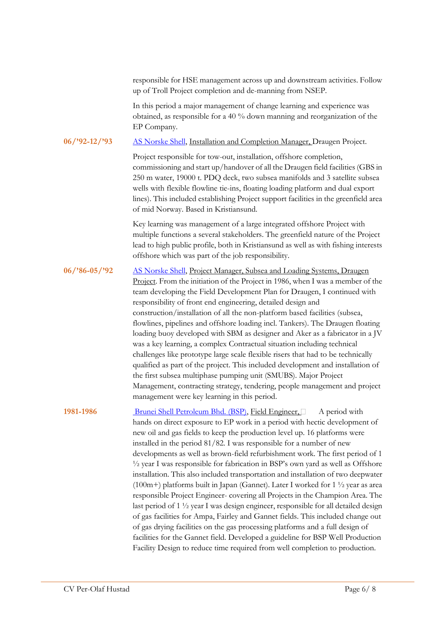responsible for HSE management across up and downstream activities. Follow up of Troll Project completion and de-manning from NSEP.

In this period a major management of change learning and experience was obtained, as responsible for a 40 % down manning and reorganization of the EP Company.

#### **06/'92-12/'93** [AS Norske Shell,](https://www.shell.no/) Installation and Completion Manager, Draugen Project.

Project responsible for tow-out, installation, offshore completion, commissioning and start up/handover of all the Draugen field facilities (GBS in 250 m water, 19000 t. PDQ deck, two subsea manifolds and 3 satellite subsea wells with flexible flowline tie-ins, floating loading platform and dual export lines). This included establishing Project support facilities in the greenfield area of mid Norway. Based in Kristiansund.

Key learning was management of a large integrated offshore Project with multiple functions a several stakeholders. The greenfield nature of the Project lead to high public profile, both in Kristiansund as well as with fishing interests offshore which was part of the job responsibility.

### **06/'86-05/'92** [AS Norske Shell,](https://www.shell.no/) Project Manager, Subsea and Loading Systems, Draugen Project. From the initiation of the Project in 1986, when I was a member of the team developing the Field Development Plan for Draugen, I continued with responsibility of front end engineering, detailed design and construction/installation of all the non-platform based facilities (subsea, flowlines, pipelines and offshore loading incl. Tankers). The Draugen floating loading buoy developed with SBM as designer and Aker as a fabricator in a JV was a key learning, a complex Contractual situation including technical challenges like prototype large scale flexible risers that had to be technically qualified as part of the project. This included development and installation of the first subsea multiphase pumping unit (SMUBS). Major Project Management, contracting strategy, tendering, people management and project management were key learning in this period.

**1981-1986** [Brunei Shell Petroleum Bhd. \(BSP\),](https://www.bsp.com.bn/main/default.aspx) Field Engineer, A period with hands on direct exposure to EP work in a period with hectic development of new oil and gas fields to keep the production level up. 16 platforms were installed in the period 81/82. I was responsible for a number of new developments as well as brown-field refurbishment work. The first period of 1 ½ year I was responsible for fabrication in BSP's own yard as well as Offshore installation. This also included transportation and installation of two deepwater (100m+) platforms built in Japan (Gannet). Later I worked for 1 ½ year as area responsible Project Engineer- covering all Projects in the Champion Area. The last period of 1 ½ year I was design engineer, responsible for all detailed design of gas facilities for Ampa, Fairley and Gannet fields. This included change out of gas drying facilities on the gas processing platforms and a full design of facilities for the Gannet field. Developed a guideline for BSP Well Production Facility Design to reduce time required from well completion to production.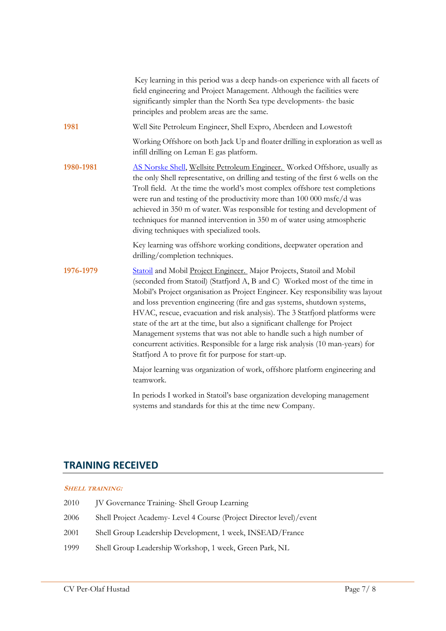|           | Key learning in this period was a deep hands-on experience with all facets of<br>field engineering and Project Management. Although the facilities were<br>significantly simpler than the North Sea type developments- the basic<br>principles and problem areas are the same.                                                                                                                                                                                                                                                                                                                                                                                                                  |
|-----------|-------------------------------------------------------------------------------------------------------------------------------------------------------------------------------------------------------------------------------------------------------------------------------------------------------------------------------------------------------------------------------------------------------------------------------------------------------------------------------------------------------------------------------------------------------------------------------------------------------------------------------------------------------------------------------------------------|
| 1981      | Well Site Petroleum Engineer, Shell Expro, Aberdeen and Lowestoft                                                                                                                                                                                                                                                                                                                                                                                                                                                                                                                                                                                                                               |
|           | Working Offshore on both Jack Up and floater drilling in exploration as well as<br>infill drilling on Leman E gas platform.                                                                                                                                                                                                                                                                                                                                                                                                                                                                                                                                                                     |
| 1980-1981 | AS Norske Shell, Wellsite Petroleum Engineer. Worked Offshore, usually as<br>the only Shell representative, on drilling and testing of the first 6 wells on the<br>Troll field. At the time the world's most complex offshore test completions<br>were run and testing of the productivity more than 100 000 msfc/d was<br>achieved in 350 m of water. Was responsible for testing and development of<br>techniques for manned intervention in 350 m of water using atmospheric<br>diving techniques with specialized tools.                                                                                                                                                                    |
|           | Key learning was offshore working conditions, deepwater operation and<br>drilling/completion techniques.                                                                                                                                                                                                                                                                                                                                                                                                                                                                                                                                                                                        |
| 1976-1979 | Statoil and Mobil Project Engineer. Major Projects, Statoil and Mobil<br>(seconded from Statoil) (Statfjord A, B and C) Worked most of the time in<br>Mobil's Project organisation as Project Engineer. Key responsibility was layout<br>and loss prevention engineering (fire and gas systems, shutdown systems,<br>HVAC, rescue, evacuation and risk analysis). The 3 Statfjord platforms were<br>state of the art at the time, but also a significant challenge for Project<br>Management systems that was not able to handle such a high number of<br>concurrent activities. Responsible for a large risk analysis (10 man-years) for<br>Statfjord A to prove fit for purpose for start-up. |
|           | Major learning was organization of work, offshore platform engineering and<br>teamwork.                                                                                                                                                                                                                                                                                                                                                                                                                                                                                                                                                                                                         |
|           | In periods I worked in Statoil's base organization developing management                                                                                                                                                                                                                                                                                                                                                                                                                                                                                                                                                                                                                        |

systems and standards for this at the time new Company.

# **TRAINING RECEIVED**

#### **SHELL TRAINING:**

| <b>IV Governance Training-Shell Group Learning</b>                   |
|----------------------------------------------------------------------|
| Shell Project Academy- Level 4 Course (Project Director level)/event |
| Shell Group Leadership Development, 1 week, INSEAD/France            |
| Shell Group Leadership Workshop, 1 week, Green Park, NL              |
|                                                                      |